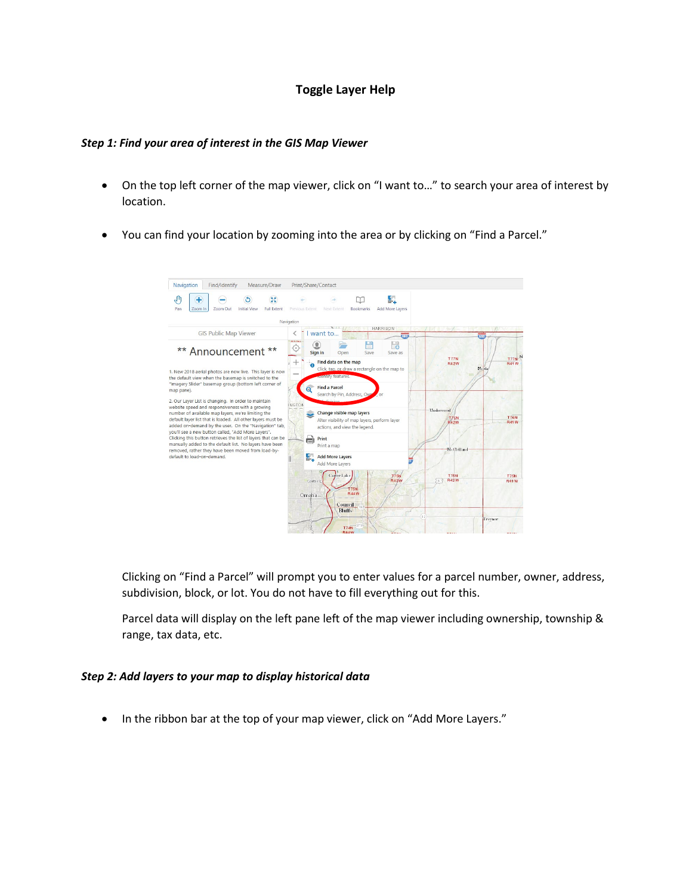## **Toggle Layer Help**

## *Step 1: Find your area of interest in the GIS Map Viewer*

- On the top left corner of the map viewer, click on "I want to…" to search your area of interest by location.
- You can find your location by zooming into the area or by clicking on "Find a Parcel."



Clicking on "Find a Parcel" will prompt you to enter values for a parcel number, owner, address, subdivision, block, or lot. You do not have to fill everything out for this.

Parcel data will display on the left pane left of the map viewer including ownership, township & range, tax data, etc.

## *Step 2: Add layers to your map to display historical data*

• In the ribbon bar at the top of your map viewer, click on "Add More Layers."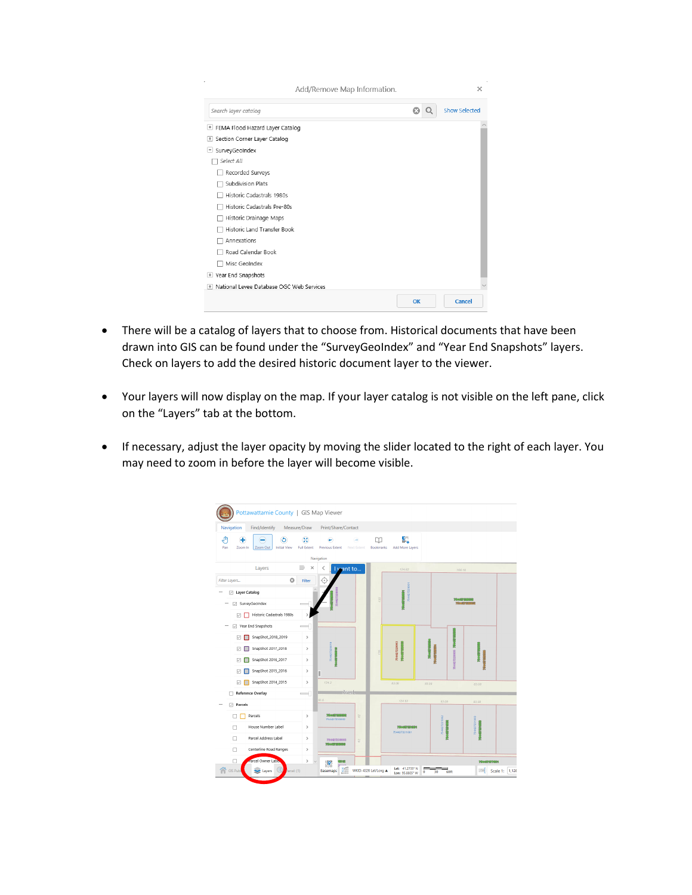| Add/Remove Map Information.                        |    | ×             |
|----------------------------------------------------|----|---------------|
| Search layer catalog                               | œ  | Show Selected |
| FEMA Flood Hazard Layer Catalog<br>÷               |    |               |
| Section Corner Layer Catalog<br>$\left  + \right $ |    |               |
| SurveyGeoIndex<br>н                                |    |               |
| Select All                                         |    |               |
| Recorded Surveys                                   |    |               |
| Subdivision Plats                                  |    |               |
| Historic Cadastrals 1980s                          |    |               |
| Historic Cadastrals Pre-80s                        |    |               |
| Historic Drainage Maps                             |    |               |
| Historic Land Transfer Book                        |    |               |
| Annexations                                        |    |               |
| Road Calendar Book                                 |    |               |
| Misc GeoIndex                                      |    |               |
| Year End Snapshots<br>$\pm$                        |    |               |
| National Levee Database OGC Web Services<br>÷.     |    |               |
|                                                    | OK | Cancel        |

- There will be a catalog of layers that to choose from. Historical documents that have been drawn into GIS can be found under the "SurveyGeoIndex" and "Year End Snapshots" layers. Check on layers to add the desired historic document layer to the viewer.
- Your layers will now display on the map. If your layer catalog is not visible on the left pane, click on the "Layers" tab at the bottom.
- If necessary, adjust the layer opacity by moving the slider located to the right of each layer. You may need to zoom in before the layer will become visible.

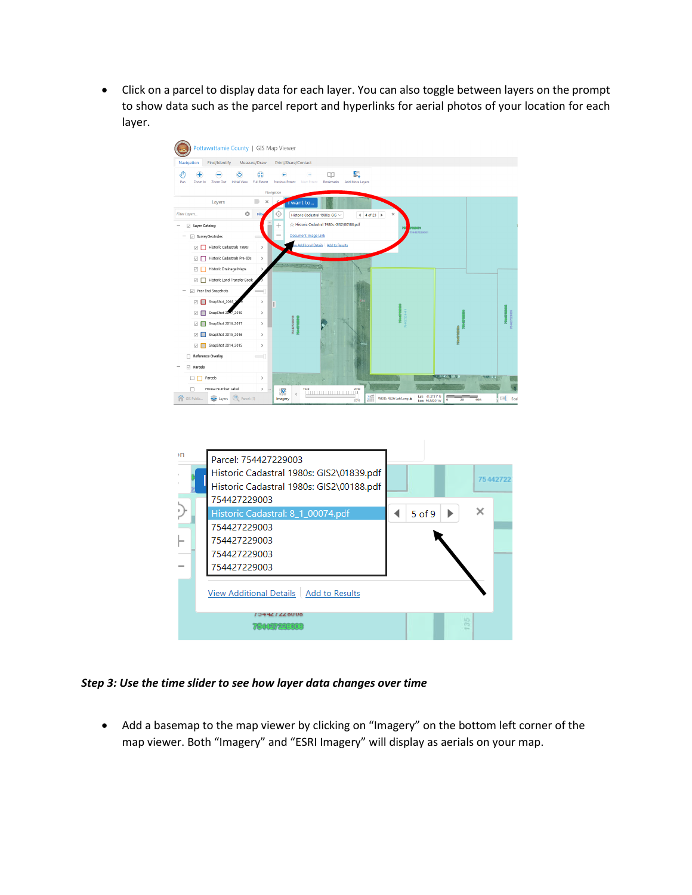• Click on a parcel to display data for each layer. You can also toggle between layers on the prompt to show data such as the parcel report and hyperlinks for aerial photos of your location for each layer.





*Step 3: Use the time slider to see how layer data changes over time*

• Add a basemap to the map viewer by clicking on "Imagery" on the bottom left corner of the map viewer. Both "Imagery" and "ESRI Imagery" will display as aerials on your map.